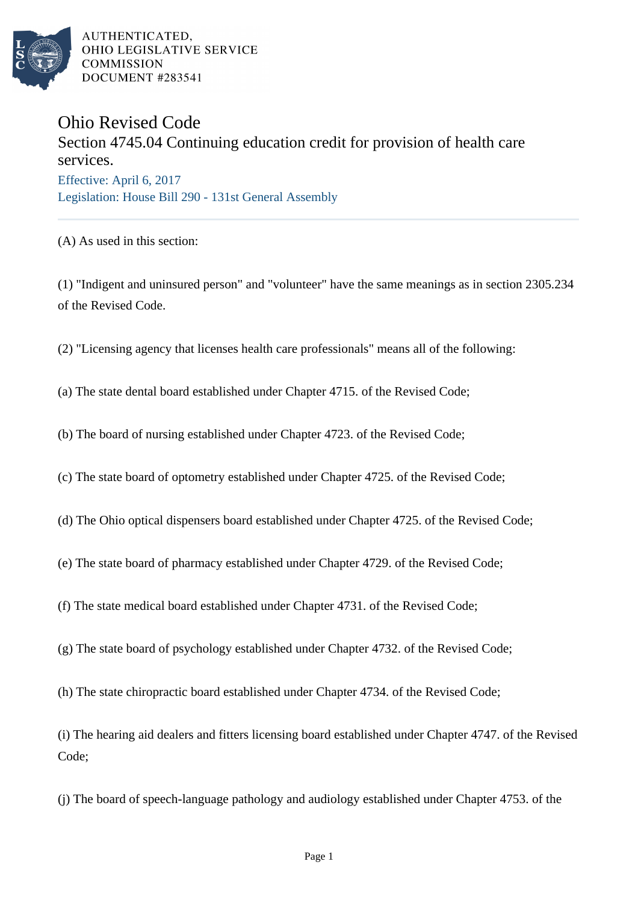

AUTHENTICATED, OHIO LEGISLATIVE SERVICE **COMMISSION** DOCUMENT #283541

## Ohio Revised Code

## Section 4745.04 Continuing education credit for provision of health care services. Effective: April 6, 2017 Legislation: House Bill 290 - 131st General Assembly

(A) As used in this section:

(1) "Indigent and uninsured person" and "volunteer" have the same meanings as in section 2305.234 of the Revised Code.

(2) "Licensing agency that licenses health care professionals" means all of the following:

(a) The state dental board established under Chapter 4715. of the Revised Code;

(b) The board of nursing established under Chapter 4723. of the Revised Code;

(c) The state board of optometry established under Chapter 4725. of the Revised Code;

- (d) The Ohio optical dispensers board established under Chapter 4725. of the Revised Code;
- (e) The state board of pharmacy established under Chapter 4729. of the Revised Code;
- (f) The state medical board established under Chapter 4731. of the Revised Code;
- (g) The state board of psychology established under Chapter 4732. of the Revised Code;
- (h) The state chiropractic board established under Chapter 4734. of the Revised Code;

(i) The hearing aid dealers and fitters licensing board established under Chapter 4747. of the Revised Code;

(j) The board of speech-language pathology and audiology established under Chapter 4753. of the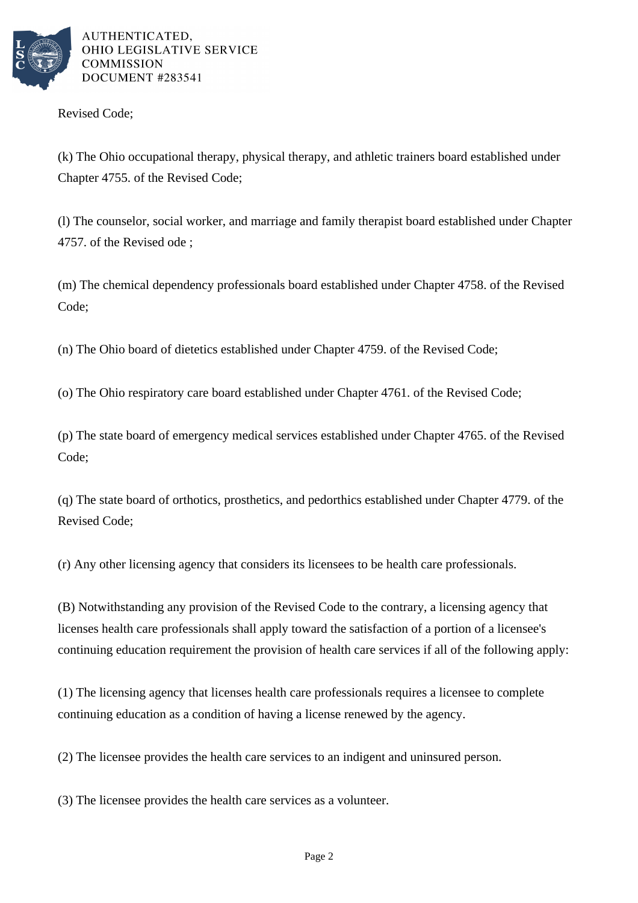

AUTHENTICATED. OHIO LEGISLATIVE SERVICE **COMMISSION** DOCUMENT #283541

Revised Code;

(k) The Ohio occupational therapy, physical therapy, and athletic trainers board established under Chapter 4755. of the Revised Code;

(l) The counselor, social worker, and marriage and family therapist board established under Chapter 4757. of the Revised ode ;

(m) The chemical dependency professionals board established under Chapter 4758. of the Revised Code;

(n) The Ohio board of dietetics established under Chapter 4759. of the Revised Code;

(o) The Ohio respiratory care board established under Chapter 4761. of the Revised Code;

(p) The state board of emergency medical services established under Chapter 4765. of the Revised Code;

(q) The state board of orthotics, prosthetics, and pedorthics established under Chapter 4779. of the Revised Code;

(r) Any other licensing agency that considers its licensees to be health care professionals.

(B) Notwithstanding any provision of the Revised Code to the contrary, a licensing agency that licenses health care professionals shall apply toward the satisfaction of a portion of a licensee's continuing education requirement the provision of health care services if all of the following apply:

(1) The licensing agency that licenses health care professionals requires a licensee to complete continuing education as a condition of having a license renewed by the agency.

(2) The licensee provides the health care services to an indigent and uninsured person.

(3) The licensee provides the health care services as a volunteer.